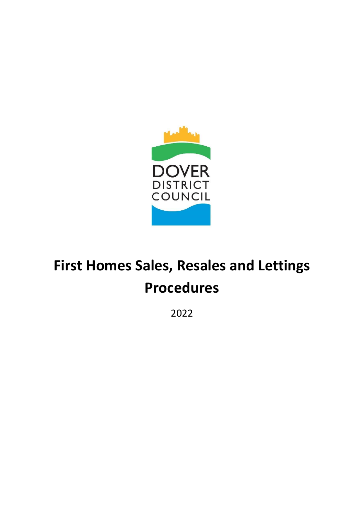

# **First Homes Sales, Resales and Lettings Procedures**

2022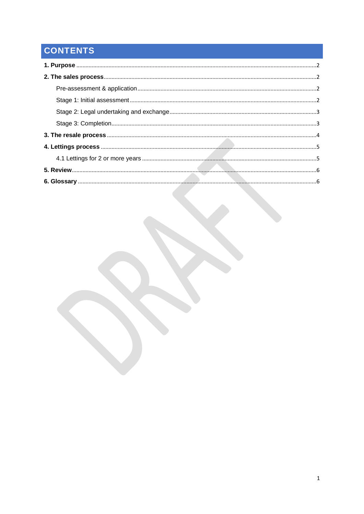## CONTENTS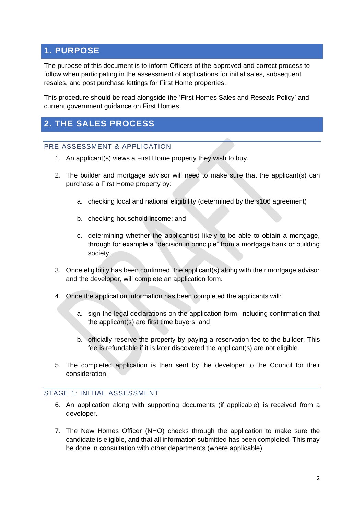## <span id="page-2-0"></span>**1. PURPOSE**

The purpose of this document is to inform Officers of the approved and correct process to follow when participating in the assessment of applications for initial sales, subsequent resales, and post purchase lettings for First Home properties.

This procedure should be read alongside the 'First Homes Sales and Reseals Policy' and current government guidance on First Homes.

## <span id="page-2-1"></span>**2. THE SALES PROCESS**

#### <span id="page-2-2"></span>PRE-ASSESSMENT & APPLICATION

- 1. An applicant(s) views a First Home property they wish to buy.
- 2. The builder and mortgage advisor will need to make sure that the applicant(s) can purchase a First Home property by:
	- a. checking local and national eligibility (determined by the s106 agreement)
	- b. checking household income; and
	- c. determining whether the applicant(s) likely to be able to obtain a mortgage, through for example a "decision in principle" from a mortgage bank or building society.
- 3. Once eligibility has been confirmed, the applicant(s) along with their mortgage advisor and the developer, will complete an application form.
- 4. Once the application information has been completed the applicants will:
	- a. sign the legal declarations on the application form, including confirmation that the applicant(s) are first time buyers; and
	- b. officially reserve the property by paying a reservation fee to the builder. This fee is refundable if it is later discovered the applicant(s) are not eligible.
- 5. The completed application is then sent by the developer to the Council for their consideration.

#### <span id="page-2-3"></span>STAGE 1: INITIAL ASSESSMENT

- 6. An application along with supporting documents (if applicable) is received from a developer.
- 7. The New Homes Officer (NHO) checks through the application to make sure the candidate is eligible, and that all information submitted has been completed. This may be done in consultation with other departments (where applicable).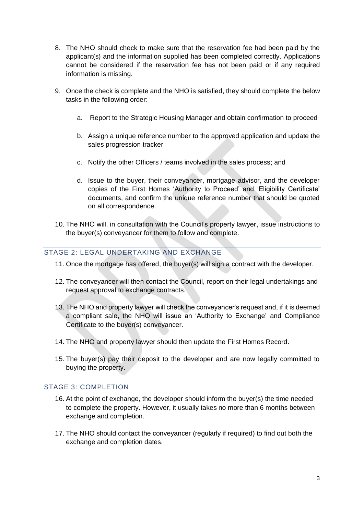- 8. The NHO should check to make sure that the reservation fee had been paid by the applicant(s) and the information supplied has been completed correctly. Applications cannot be considered if the reservation fee has not been paid or if any required information is missing.
- 9. Once the check is complete and the NHO is satisfied, they should complete the below tasks in the following order:
	- a. Report to the Strategic Housing Manager and obtain confirmation to proceed
	- b. Assign a unique reference number to the approved application and update the sales progression tracker
	- c. Notify the other Officers / teams involved in the sales process; and
	- d. Issue to the buyer, their conveyancer, mortgage advisor, and the developer copies of the First Homes 'Authority to Proceed' and 'Eligibility Certificate' documents, and confirm the unique reference number that should be quoted on all correspondence.
- 10. The NHO will, in consultation with the Council's property lawyer, issue instructions to the buyer(s) conveyancer for them to follow and complete.

#### <span id="page-3-0"></span>STAGE 2: LEGAL UNDERTAKING AND EXCHANGE

- 11. Once the mortgage has offered, the buyer(s) will sign a contract with the developer.
- 12. The conveyancer will then contact the Council, report on their legal undertakings and request approval to exchange contracts.
- 13. The NHO and property lawyer will check the conveyancer's request and, if it is deemed a compliant sale, the NHO will issue an 'Authority to Exchange' and Compliance Certificate to the buyer(s) conveyancer.
- 14. The NHO and property lawyer should then update the First Homes Record.
- 15. The buyer(s) pay their deposit to the developer and are now legally committed to buying the property.

#### <span id="page-3-1"></span>STAGE 3: COMPLETION

- 16. At the point of exchange, the developer should inform the buyer(s) the time needed to complete the property. However, it usually takes no more than 6 months between exchange and completion.
- 17. The NHO should contact the conveyancer (regularly if required) to find out both the exchange and completion dates.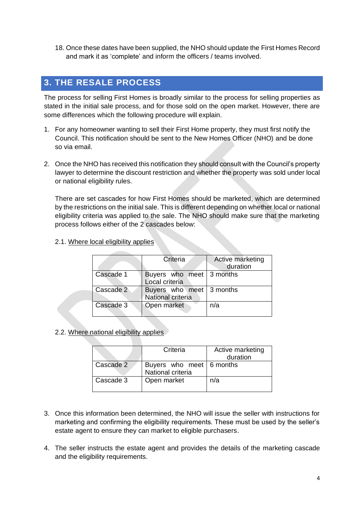18. Once these dates have been supplied, the NHO should update the First Homes Record and mark it as 'complete' and inform the officers / teams involved.

## <span id="page-4-0"></span>**3. THE RESALE PROCESS**

The process for selling First Homes is broadly similar to the process for selling properties as stated in the initial sale process, and for those sold on the open market. However, there are some differences which the following procedure will explain.

- 1. For any homeowner wanting to sell their First Home property, they must first notify the Council. This notification should be sent to the New Homes Officer (NHO) and be done so via email.
- 2. Once the NHO has received this notification they should consult with the Council's property lawyer to determine the discount restriction and whether the property was sold under local or national eligibility rules.

There are set cascades for how First Homes should be marketed, which are determined by the restrictions on the initial sale. This is different depending on whether local or national eligibility criteria was applied to the sale. The NHO should make sure that the marketing process follows either of the 2 cascades below:

2.1. Where local eligibility applies

|           | Criteria                                      | Active marketing<br>duration |
|-----------|-----------------------------------------------|------------------------------|
| Cascade 1 | Buyers who meet 3 months<br>Local criteria    |                              |
| Cascade 2 | Buyers who meet 3 months<br>National criteria |                              |
| Cascade 3 | Open market                                   | n/a                          |

2.2. Where national eligibility applies

|           | Criteria                                      | Active marketing<br>duration |
|-----------|-----------------------------------------------|------------------------------|
| Cascade 2 | Buyers who meet 6 months<br>National criteria |                              |
| Cascade 3 | Open market                                   | n/a                          |

- 3. Once this information been determined, the NHO will issue the seller with instructions for marketing and confirming the eligibility requirements. These must be used by the seller's estate agent to ensure they can market to eligible purchasers.
- 4. The seller instructs the estate agent and provides the details of the marketing cascade and the eligibility requirements.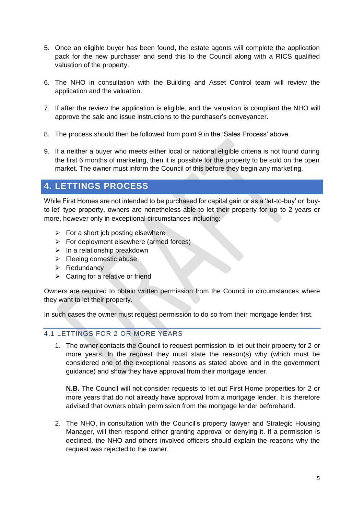- 5. Once an eligible buyer has been found, the estate agents will complete the application pack for the new purchaser and send this to the Council along with a RICS qualified valuation of the property.
- 6. The NHO in consultation with the Building and Asset Control team will review the application and the valuation.
- 7. If after the review the application is eligible, and the valuation is compliant the NHO will approve the sale and issue instructions to the purchaser's conveyancer.
- 8. The process should then be followed from point 9 in the 'Sales Process' above.
- 9. If a neither a buyer who meets either local or national eligible criteria is not found during the first 6 months of marketing, then it is possible for the property to be sold on the open market. The owner must inform the Council of this before they begin any marketing.

## <span id="page-5-0"></span>**4. LETTINGS PROCESS**

While First Homes are not intended to be purchased for capital gain or as a 'let-to-buy' or 'buyto-let' type property, owners are nonetheless able to let their property for up to 2 years or more, however only in exceptional circumstances including:

- $\triangleright$  For a short job posting elsewhere
- $\triangleright$  For deployment elsewhere (armed forces)
- $\triangleright$  In a relationship breakdown
- $\triangleright$  Fleeing domestic abuse
- ➢ Redundancy
- $\triangleright$  Caring for a relative or friend

Owners are required to obtain written permission from the Council in circumstances where they want to let their property.

In such cases the owner must request permission to do so from their mortgage lender first.

#### <span id="page-5-1"></span>4.1 LETTINGS FOR 2 OR MORE YEARS

1. The owner contacts the Council to request permission to let out their property for 2 or more years. In the request they must state the reason(s) why (which must be considered one of the exceptional reasons as stated above and in the government guidance) and show they have approval from their mortgage lender.

**N.B.** The Council will not consider requests to let out First Home properties for 2 or more years that do not already have approval from a mortgage lender. It is therefore advised that owners obtain permission from the mortgage lender beforehand.

2. The NHO, in consultation with the Council's property lawyer and Strategic Housing Manager, will then respond either granting approval or denying it. If a permission is declined, the NHO and others involved officers should explain the reasons why the request was rejected to the owner.